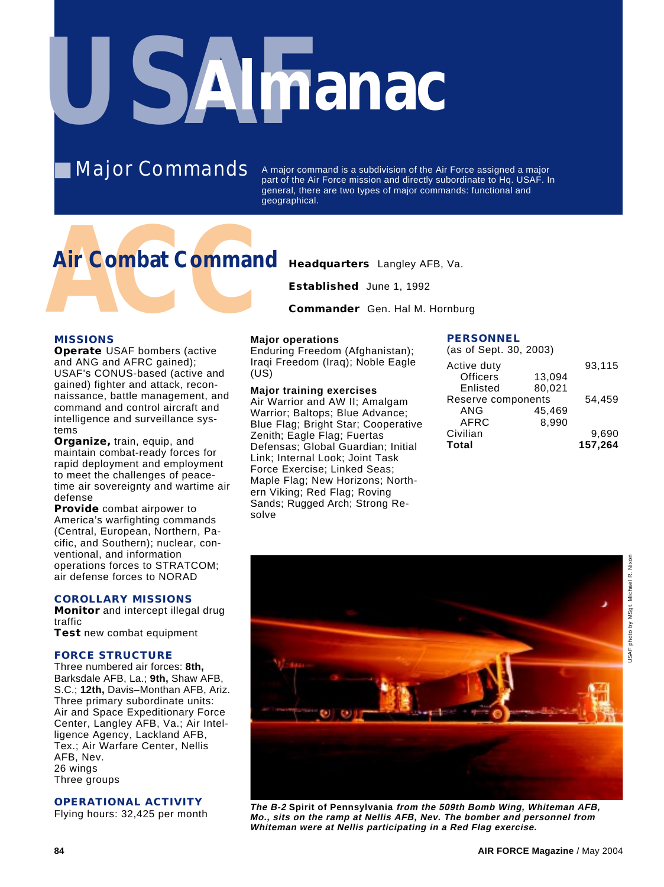

**Major Commands** 

A major command is a subdivision of the Air Force assigned a major part of the Air Force mission and directly subordinate to Hq. USAF. In general, there are two types of major commands: functional and geographical.

# **Air Combat Command** Headquarters Langley AFB, Va.<br>
Established June 1, 1992<br>
Commander Gen. Hal M. Hornbu<br>
MISSIONS Major operations PE **Air Combat Command**

**Established** June 1, 1992

**Commander** Gen. Hal M. Hornburg

#### **MISSIONS**

**Operate** USAF bombers (active and ANG and AFRC gained); USAF's CONUS-based (active and gained) fighter and attack, reconnaissance, battle management, and command and control aircraft and intelligence and surveillance systems

**Organize,** train, equip, and maintain combat-ready forces for rapid deployment and employment to meet the challenges of peacetime air sovereignty and wartime air defense

**Provide** combat airpower to America's warfighting commands (Central, European, Northern, Pacific, and Southern); nuclear, conventional, and information operations forces to STRATCOM; air defense forces to NORAD

#### **COROLLARY MISSIONS**

**Monitor** and intercept illegal drug traffic **Test** new combat equipment

#### **FORCE STRUCTURE**

Three numbered air forces: **8th,** Barksdale AFB, La.; **9th,** Shaw AFB, S.C.; **12th,** Davis–Monthan AFB, Ariz. Three primary subordinate units: Air and Space Expeditionary Force Center, Langley AFB, Va.; Air Intelligence Agency, Lackland AFB, Tex.; Air Warfare Center, Nellis AFB, Nev. 26 wings Three groups

#### **OPERATIONAL ACTIVITY**

Flying hours: 32,425 per month

#### **Major operations**

Enduring Freedom (Afghanistan); Iraqi Freedom (Iraq); Noble Eagle (US)

**Major training exercises** Air Warrior and AW II; Amalgam Warrior; Baltops; Blue Advance; Blue Flag; Bright Star; Cooperative Zenith; Eagle Flag; Fuertas Defensas; Global Guardian; Initial Link; Internal Look; Joint Task Force Exercise; Linked Seas; Maple Flag; New Horizons; Northern Viking; Red Flag; Roving Sands; Rugged Arch; Strong Resolve

#### **PERSONNEL**

| (as of Sept. 30, 2003) |        |         |
|------------------------|--------|---------|
| Active duty            |        | 93,115  |
| <b>Officers</b>        | 13,094 |         |
| Enlisted               | 80,021 |         |
| Reserve components     |        | 54.459  |
| ANG                    | 45.469 |         |
| AFRC                   | 8.990  |         |
| Civilian               |        | 9,690   |
| <b>Total</b>           |        | 157,264 |
|                        |        |         |



**The B-2 Spirit of Pennsylvania from the 509th Bomb Wing, Whiteman AFB, Mo., sits on the ramp at Nellis AFB, Nev. The bomber and personnel from Whiteman were at Nellis participating in a Red Flag exercise.**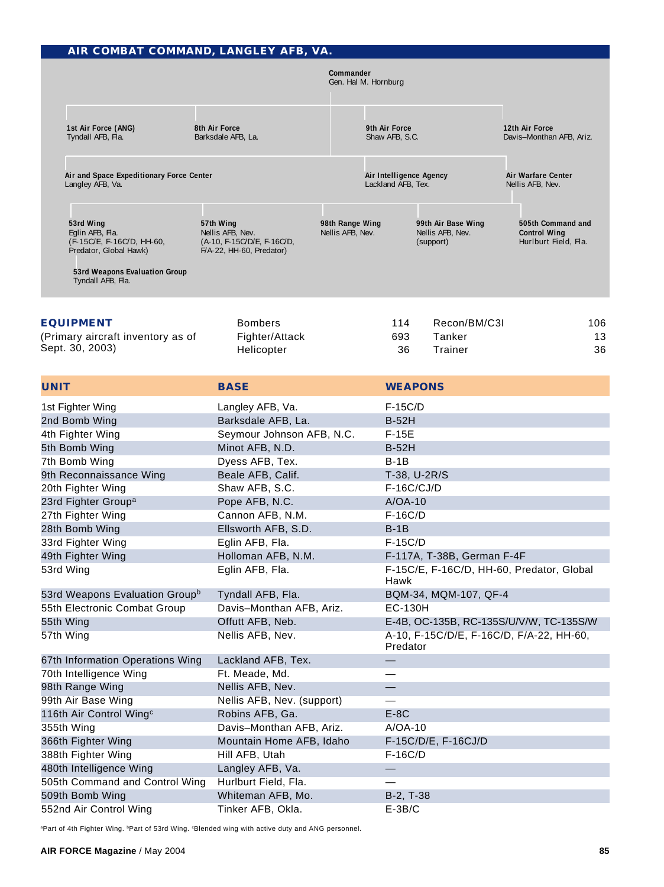|                                                   | AIR COMBAT COMMAND, LANGLEY AFB, VA.                                                        |                                                                                         |                                     |  |                                                                                                 |                                                     |                                                                  |
|---------------------------------------------------|---------------------------------------------------------------------------------------------|-----------------------------------------------------------------------------------------|-------------------------------------|--|-------------------------------------------------------------------------------------------------|-----------------------------------------------------|------------------------------------------------------------------|
|                                                   |                                                                                             |                                                                                         | Commander<br>Gen. Hal M. Hornburg   |  |                                                                                                 |                                                     |                                                                  |
|                                                   | 1st Air Force (ANG)<br>8th Air Force<br>Tyndall AFB, Fla.<br>Barksdale AFB, La.             |                                                                                         |                                     |  | 9th Air Force<br>Shaw AFB, S.C.                                                                 |                                                     | 12th Air Force<br>Davis-Monthan AFB, Ariz.                       |
| Langley AFB, Va.                                  | Air and Space Expeditionary Force Center                                                    |                                                                                         |                                     |  | Air Intelligence Agency<br>Lackland AFB, Tex.                                                   |                                                     | Air Warfare Center<br>Nellis AFB, Nev.                           |
| 53rd Wing<br>Eglin AFB, Fla.<br>Tyndall AFB, Fla. | (F-15C/E, F-16C/D, HH-60,<br>Predator, Global Hawk)<br><b>53rd Weapons Evaluation Group</b> | 57th Wing<br>Nellis AFB, Nev.<br>(A-10, F-15C/D/E, F-16C/D,<br>F/A-22, HH-60, Predator) | 98th Range Wing<br>Nellis AFB, Nev. |  |                                                                                                 | 99th Air Base Wing<br>Nellis AFB, Nev.<br>(support) | 505th Command and<br><b>Control Wing</b><br>Hurlburt Field, Fla. |
| <b>EQUIPMENT</b><br>Sept. 30, 2003)               | (Primary aircraft inventory as of                                                           | <b>Bombers</b><br>Fighter/Attack<br>Helicopter                                          |                                     |  | 114<br>693<br>36                                                                                | Recon/BM/C3I<br>Tanker<br>Trainer                   | 106<br>13<br>36                                                  |
| <b>UNIT</b>                                       |                                                                                             | <b>BASE</b>                                                                             |                                     |  | <b>WEAPONS</b>                                                                                  |                                                     |                                                                  |
| 1st Fighter Wing                                  |                                                                                             | Langley AFB, Va.                                                                        |                                     |  |                                                                                                 |                                                     |                                                                  |
| 2nd Bomb Wing                                     |                                                                                             | Barksdale AFB, La.                                                                      |                                     |  | F-15C/D<br><b>B-52H</b>                                                                         |                                                     |                                                                  |
| 4th Fighter Wing                                  |                                                                                             | Seymour Johnson AFB, N.C.                                                               |                                     |  | $F-15E$                                                                                         |                                                     |                                                                  |
| 5th Bomb Wing                                     |                                                                                             | Minot AFB, N.D.                                                                         |                                     |  | <b>B-52H</b>                                                                                    |                                                     |                                                                  |
| 7th Bomb Wing                                     |                                                                                             | Dyess AFB, Tex.                                                                         |                                     |  | $B-1B$                                                                                          |                                                     |                                                                  |
| 9th Reconnaissance Wing                           |                                                                                             | Beale AFB, Calif.                                                                       |                                     |  | T-38, U-2R/S                                                                                    |                                                     |                                                                  |
| 20th Fighter Wing                                 |                                                                                             | Shaw AFB, S.C.                                                                          |                                     |  | <b>F-16C/CJ/D</b>                                                                               |                                                     |                                                                  |
| 23rd Fighter Group <sup>a</sup>                   |                                                                                             | Pope AFB, N.C.                                                                          |                                     |  | $A/OA-10$                                                                                       |                                                     |                                                                  |
| 27th Fighter Wing                                 |                                                                                             | Cannon AFB, N.M.                                                                        |                                     |  | $F-16C/D$                                                                                       |                                                     |                                                                  |
| 28th Bomb Wing                                    |                                                                                             | Ellsworth AFB, S.D.                                                                     |                                     |  | $B-1B$                                                                                          |                                                     |                                                                  |
| 33rd Fighter Wing                                 |                                                                                             | Eglin AFB, Fla.                                                                         |                                     |  | $F-15C/D$                                                                                       |                                                     |                                                                  |
| 49th Fighter Wing                                 |                                                                                             | Holloman AFB, N.M.                                                                      |                                     |  |                                                                                                 | F-117A, T-38B, German F-4F                          |                                                                  |
| 53rd Wing                                         |                                                                                             | Eglin AFB, Fla.                                                                         |                                     |  | Hawk                                                                                            |                                                     | F-15C/E, F-16C/D, HH-60, Predator, Global                        |
|                                                   | 53rd Weapons Evaluation Group <sup>b</sup>                                                  | Tyndall AFB, Fla.                                                                       |                                     |  |                                                                                                 | BQM-34, MQM-107, QF-4                               |                                                                  |
|                                                   | 55th Electronic Combat Group                                                                | Davis-Monthan AFB, Ariz.                                                                |                                     |  | <b>EC-130H</b>                                                                                  |                                                     |                                                                  |
| 55th Wing<br>57th Wing                            |                                                                                             | Offutt AFB, Neb.<br>Nellis AFB, Nev.                                                    |                                     |  | E-4B, OC-135B, RC-135S/U/V/W, TC-135S/W<br>A-10, F-15C/D/E, F-16C/D, F/A-22, HH-60,<br>Predator |                                                     |                                                                  |
|                                                   | 67th Information Operations Wing                                                            | Lackland AFB, Tex.                                                                      |                                     |  |                                                                                                 |                                                     |                                                                  |
| 70th Intelligence Wing                            |                                                                                             | Ft. Meade, Md.                                                                          |                                     |  |                                                                                                 |                                                     |                                                                  |
| 98th Range Wing                                   |                                                                                             | Nellis AFB, Nev.                                                                        |                                     |  |                                                                                                 |                                                     |                                                                  |
| 99th Air Base Wing                                |                                                                                             | Nellis AFB, Nev. (support)                                                              |                                     |  |                                                                                                 |                                                     |                                                                  |
| 116th Air Control Wing <sup>c</sup>               |                                                                                             | Robins AFB, Ga.                                                                         |                                     |  | $E-8C$                                                                                          |                                                     |                                                                  |
| 355th Wing                                        |                                                                                             | Davis-Monthan AFB, Ariz.                                                                |                                     |  | $A/OA-10$                                                                                       |                                                     |                                                                  |
| 366th Fighter Wing                                |                                                                                             | Mountain Home AFB, Idaho                                                                |                                     |  |                                                                                                 | F-15C/D/E, F-16CJ/D                                 |                                                                  |
| 388th Fighter Wing                                |                                                                                             | Hill AFB, Utah                                                                          |                                     |  | $F-16C/D$                                                                                       |                                                     |                                                                  |
| 480th Intelligence Wing                           |                                                                                             | Langley AFB, Va.                                                                        |                                     |  |                                                                                                 |                                                     |                                                                  |
|                                                   | 505th Command and Control Wing                                                              | Hurlburt Field, Fla.                                                                    |                                     |  |                                                                                                 |                                                     |                                                                  |
| 509th Bomb Wing                                   |                                                                                             | Whiteman AFB, Mo.                                                                       |                                     |  | B-2, T-38                                                                                       |                                                     |                                                                  |
| 552nd Air Control Wing                            |                                                                                             | Tinker AFB, Okla.                                                                       |                                     |  | $E-3B/C$                                                                                        |                                                     |                                                                  |

aPart of 4th Fighter Wing. bPart of 53rd Wing. aBlended wing with active duty and ANG personnel.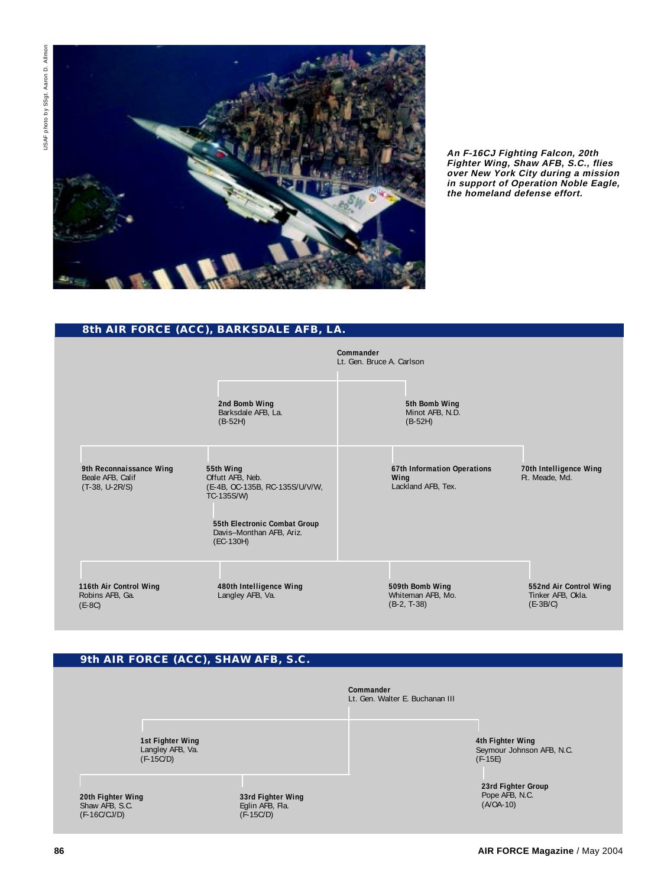

**An F-16CJ Fighting Falcon, 20th Fighter Wing, Shaw AFB, S.C., flies over New York City during a mission in support of Operation Noble Eagle, the homeland defense effort.**

#### **8th AIR FORCE (ACC), BARKSDALE AFB, LA.**

|                                                                 |                                                                                                                                                        | Commander<br>Lt. Gen. Bruce A. Carlson                    |                                                           |
|-----------------------------------------------------------------|--------------------------------------------------------------------------------------------------------------------------------------------------------|-----------------------------------------------------------|-----------------------------------------------------------|
|                                                                 | 2nd Bomb Wing<br>Barksdale AFB, La.<br>$(B-52H)$                                                                                                       | 5th Bomb Wing<br>Minot AFB, N.D.<br>$(B-52H)$             |                                                           |
| 9th Reconnaissance Wing<br>Beale AFB, Calif<br>$(T-38, U-2R/S)$ | 55th Wing<br>Offutt AFB, Neb.<br>(E-4B, OC-135B, RC-135S/U/V/W,<br>TC-135S/W)<br>55th Electronic Combat Group<br>Davis-Monthan AFB, Ariz.<br>(EC-130H) | 67th Information Operations<br>Wing<br>Lackland AFB, Tex. | 70th Intelligence Wing<br>Ft. Meade, Md.                  |
| 116th Air Control Wing<br>Robins AFB, Ga.<br>$(E-8C)$           | 480th Intelligence Wing<br>Langley AFB, Va.                                                                                                            | 509th Bomb Wing<br>Whiteman AFB, Mo.<br>$(B-2, T-38)$     | 552nd Air Control Wing<br>Tinker AFB, Okla.<br>$(E-3B/C)$ |

#### **9th AIR FORCE (ACC), SHAW AFB, S.C.**

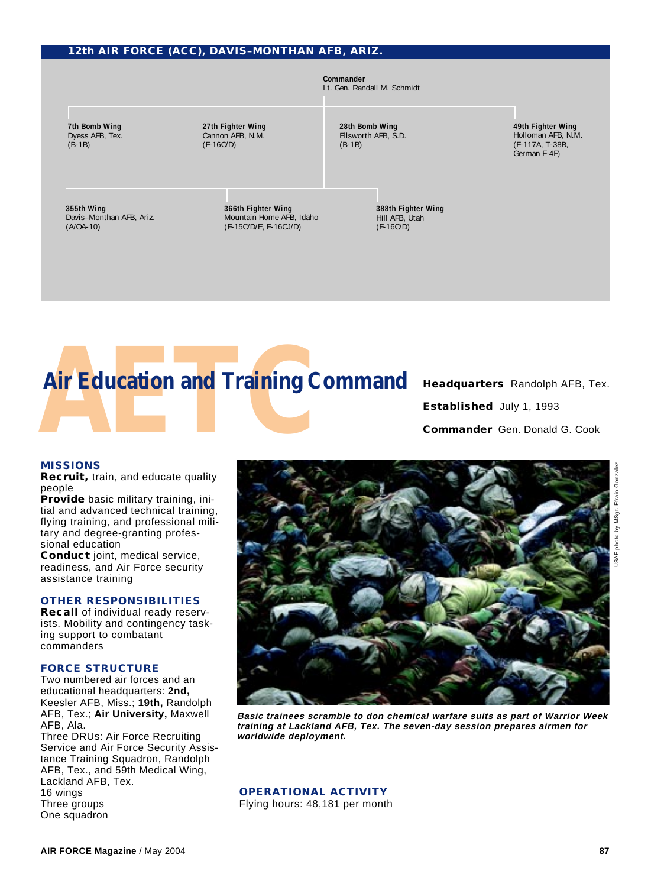#### **12th AIR FORCE (ACC), DAVIS–MONTHAN AFB, ARIZ.**





**Established** July 1, 1993 **Commander** Gen. Donald G. Cook

#### **MISSIONS**

**Recruit,** train, and educate quality people

**Provide** basic military training, initial and advanced technical training, flying training, and professional military and degree-granting professional education

**Conduct** joint, medical service, readiness, and Air Force security assistance training

#### **OTHER RESPONSIBILITIES**

**Recall** of individual ready reservists. Mobility and contingency tasking support to combatant commanders

#### **FORCE STRUCTURE**

Two numbered air forces and an educational headquarters: **2nd,** Keesler AFB, Miss.; **19th,** Randolph AFB, Tex.; **Air University,** Maxwell AFB, Ala.

Three DRUs: Air Force Recruiting Service and Air Force Security Assistance Training Squadron, Randolph AFB, Tex., and 59th Medical Wing, Lackland AFB, Tex. 16 wings Three groups One squadron



**Basic trainees scramble to don chemical warfare suits as part of Warrior Week training at Lackland AFB, Tex. The seven-day session prepares airmen for worldwide deployment.**

**OPERATIONAL ACTIVITY**

Flying hours: 48,181 per month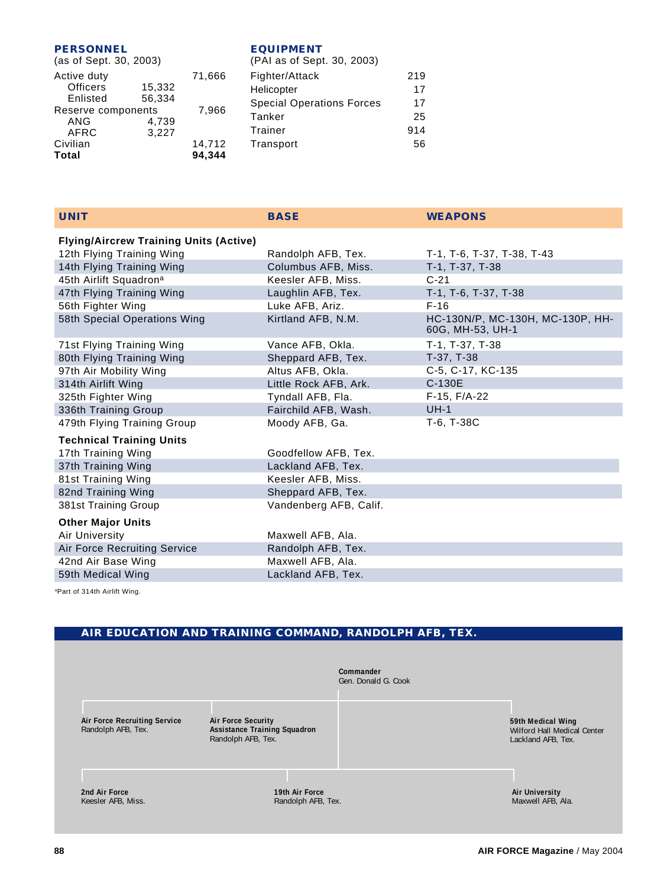#### **PERSONNEL**

| <b>EQUIPMENT</b>  |
|-------------------|
| $(PAI)$ as of San |

| (as of Sept. 30, 2003)                     |                  |                  | (PAI as                         |
|--------------------------------------------|------------------|------------------|---------------------------------|
| Active duty<br><b>Officers</b><br>Enlisted | 15,332<br>56,334 | 71,666           | Fighter/<br>Helicopt<br>Special |
| Reserve components<br>ANG<br><b>AFRC</b>   | 4,739<br>3,227   | 7,966            | Tanker<br>Trainer               |
| Civilian<br><b>Total</b>                   |                  | 14,712<br>94,344 | Transpo                         |

| (PAI as of Sept. 30, 2003)       |     |
|----------------------------------|-----|
| Fighter/Attack                   | 219 |
| Helicopter                       | 17  |
| <b>Special Operations Forces</b> | 17  |
| Tanker                           | 25  |
| Trainer                          | 914 |
| Transport                        | 56  |
|                                  |     |

| <b>UNIT</b>                                   | <b>BASE</b>            | <b>WEAPONS</b>                                       |
|-----------------------------------------------|------------------------|------------------------------------------------------|
| <b>Flying/Aircrew Training Units (Active)</b> |                        |                                                      |
| 12th Flying Training Wing                     | Randolph AFB, Tex.     | T-1, T-6, T-37, T-38, T-43                           |
| 14th Flying Training Wing                     | Columbus AFB, Miss.    | T-1, T-37, T-38                                      |
| 45th Airlift Squadron <sup>a</sup>            | Keesler AFB, Miss.     | $C-21$                                               |
| 47th Flying Training Wing                     | Laughlin AFB, Tex.     | T-1, T-6, T-37, T-38                                 |
| 56th Fighter Wing                             | Luke AFB, Ariz.        | $F-16$                                               |
| 58th Special Operations Wing                  | Kirtland AFB, N.M.     | HC-130N/P, MC-130H, MC-130P, HH-<br>60G, MH-53, UH-1 |
| 71st Flying Training Wing                     | Vance AFB, Okla.       | T-1, T-37, T-38                                      |
| 80th Flying Training Wing                     | Sheppard AFB, Tex.     | T-37, T-38                                           |
| 97th Air Mobility Wing                        | Altus AFB, Okla.       | C-5, C-17, KC-135                                    |
| 314th Airlift Wing                            | Little Rock AFB, Ark.  | C-130E                                               |
| 325th Fighter Wing                            | Tyndall AFB, Fla.      | $F-15, F/A-22$                                       |
| 336th Training Group                          | Fairchild AFB, Wash.   | $UH-1$                                               |
| 479th Flying Training Group                   | Moody AFB, Ga.         | T-6, T-38C                                           |
| <b>Technical Training Units</b>               |                        |                                                      |
| 17th Training Wing                            | Goodfellow AFB, Tex.   |                                                      |
| 37th Training Wing                            | Lackland AFB, Tex.     |                                                      |
| 81st Training Wing                            | Keesler AFB, Miss.     |                                                      |
| 82nd Training Wing                            | Sheppard AFB, Tex.     |                                                      |
| 381st Training Group                          | Vandenberg AFB, Calif. |                                                      |
| <b>Other Major Units</b>                      |                        |                                                      |
| Air University                                | Maxwell AFB, Ala.      |                                                      |
| Air Force Recruiting Service                  | Randolph AFB, Tex.     |                                                      |
| 42nd Air Base Wing                            | Maxwell AFB, Ala.      |                                                      |
| 59th Medical Wing                             | Lackland AFB, Tex.     |                                                      |

aPart of 314th Airlift Wing.

#### **AIR EDUCATION AND TRAINING COMMAND, RANDOLPH AFB, TEX.**

|                                                           |                                                                                        | Commander<br>Gen. Donald G. Cook |                                                                        |
|-----------------------------------------------------------|----------------------------------------------------------------------------------------|----------------------------------|------------------------------------------------------------------------|
| <b>Air Force Recruiting Service</b><br>Randolph AFB, Tex. | <b>Air Force Security</b><br><b>Assistance Training Squadron</b><br>Randolph AFB, Tex. |                                  | 59th Medical Wing<br>Wilford Hall Medical Center<br>Lackland AFB, Tex. |
| 2nd Air Force<br>Keesler AFB, Miss.                       | 19th Air Force<br>Randolph AFB, Tex.                                                   |                                  | <b>Air University</b><br>Maxwell AFB, Ala.                             |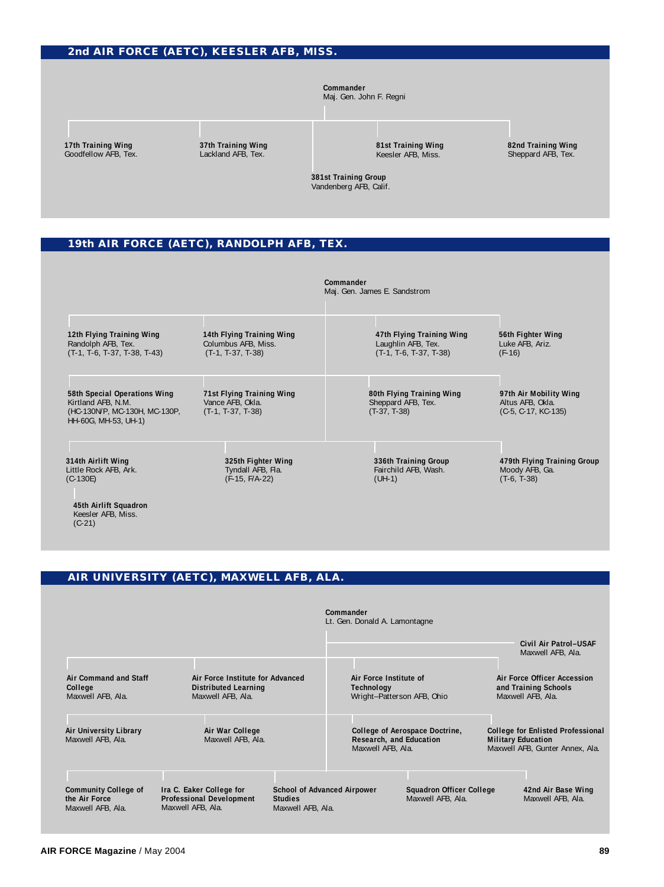#### **2nd AIR FORCE (AETC), KEESLER AFB, MISS.**

#### **Commander**

Maj. Gen. John F. Regni

**17th Training Wing** Goodfellow AFB, Tex. **37th Training Wing** Lackland AFB, Tex.

**81st Training Wing** Keesler AFB, Miss.

**82nd Training Wing** Sheppard AFB, Tex.

**381st Training Group** Vandenberg AFB, Calif.

#### **19th AIR FORCE (AETC), RANDOLPH AFB, TEX.**

|                                                                                                             |                                                                         | Commander<br>Maj. Gen. James E. Sandstrom                                   |                                                                     |
|-------------------------------------------------------------------------------------------------------------|-------------------------------------------------------------------------|-----------------------------------------------------------------------------|---------------------------------------------------------------------|
| 12th Flying Training Wing<br>Randolph AFB, Tex.<br>$(T-1, T-6, T-37, T-38, T-43)$                           | 14th Flying Training Wing<br>Columbus AFB, Miss.<br>$(T-1, T-37, T-38)$ | 47th Flying Training Wing<br>Laughlin AFB, Tex.<br>$(T-1, T-6, T-37, T-38)$ | 56th Fighter Wing<br>Luke AFB, Ariz.<br>$(F-16)$                    |
| 58th Special Operations Wing<br>Kirtland AFB, N.M.<br>(HC-130N/P, MC-130H, MC-130P,<br>HH-60G, MH-53, UH-1) | 71st Flying Training Wing<br>Vance AFB, Okla.<br>$(T-1, T-37, T-38)$    | 80th Flying Training Wing<br>Sheppard AFB, Tex.<br>$(T-37, T-38)$           | 97th Air Mobility Wing<br>Altus AFB, Okla.<br>$(C-5, C-17, KC-135)$ |
| 314th Airlift Wing<br>Little Rock AFB, Ark.<br>$(C-130E)$<br>45th Airlift Squadron                          | 325th Fighter Wing<br>Tyndall AFB, Fla.<br>$(F-15, F/A-22)$             | 336th Training Group<br>Fairchild AFB, Wash.<br>$(UH-1)$                    | 479th Flying Training Group<br>Moody AFB, Ga.<br>$(T-6, T-38)$      |

#### **AIR UNIVERSITY (AETC), MAXWELL AFB, ALA.**

|                                                                   |                                                                                      |                                     | Commander<br>Lt. Gen. Donald A. Lamontagne                         |                                                      |                           |                                                                             |
|-------------------------------------------------------------------|--------------------------------------------------------------------------------------|-------------------------------------|--------------------------------------------------------------------|------------------------------------------------------|---------------------------|-----------------------------------------------------------------------------|
|                                                                   |                                                                                      |                                     |                                                                    |                                                      |                           | Civil Air Patrol-USAF<br>Maxwell AFB, Ala.                                  |
| Air Command and Staff<br>College<br>Maxwell AFB, Ala.             | Air Force Institute for Advanced<br><b>Distributed Learning</b><br>Maxwell AFB, Ala. |                                     | Air Force Institute of<br>Technology<br>Wright-Patterson AFB, Ohio |                                                      |                           | Air Force Officer Accession<br>and Training Schools<br>Maxwell AFB, Ala.    |
| Air University Library<br>Maxwell AFB, Ala.                       | Air War College<br>Maxwell AFB, Ala.                                                 |                                     | Research, and Education<br>Maxwell AFB, Ala.                       | College of Aerospace Doctrine,                       | <b>Military Education</b> | <b>College for Enlisted Professional</b><br>Maxwell AFB, Gunter Annex, Ala. |
| <b>Community College of</b><br>the Air Force<br>Maxwell AFB, Ala. | Ira C. Eaker College for<br><b>Professional Development</b><br>Maxwell AFB, Ala.     | <b>Studies</b><br>Maxwell AFB, Ala. | <b>School of Advanced Airpower</b>                                 | <b>Squadron Officer College</b><br>Maxwell AFB, Ala. |                           | 42nd Air Base Wing<br>Maxwell AFB, Ala.                                     |

Keesler AFB, Miss.

(C-21)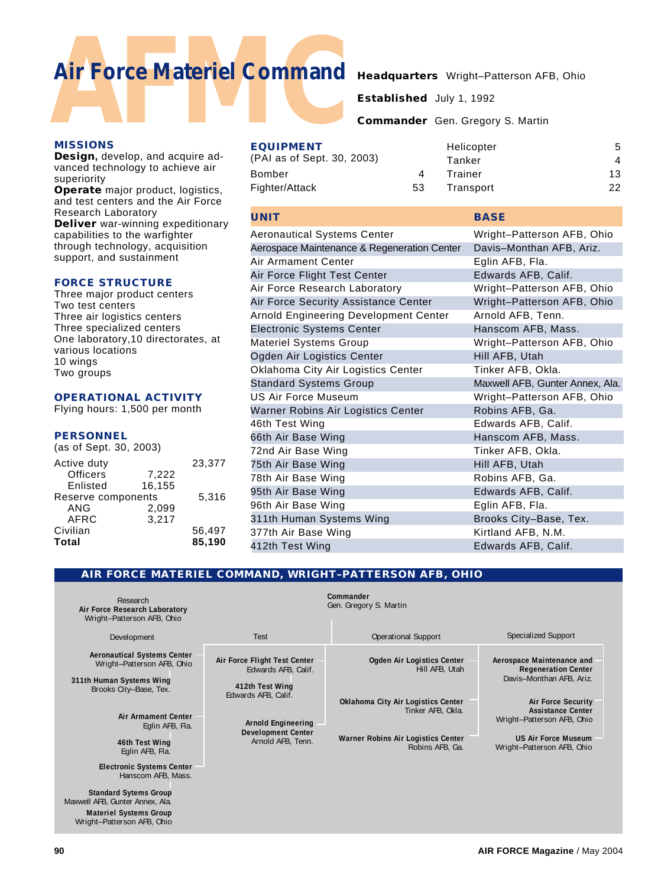# **Air Force Materiel Command** Headquarters Wright–Patterson AFB, Ohio<br>Established July 1, 1992<br>Commander Gen. Gregory S. Martin<br>Helicopter<br>Helicopter **Air Force Materiel Command**

**BASE**

**Established** July 1, 1992

**Commander** Gen. Gregory S. Martin

| <b>MISSIONS</b>                                 | <b>EQUIPMENT</b>           |    | Helicopter | 5                      |
|-------------------------------------------------|----------------------------|----|------------|------------------------|
| <b>Design, develop, and acquire ad-</b>         | (PAI as of Sept. 30, 2003) |    | Tanker     | $\boldsymbol{\Lambda}$ |
| vanced technology to achieve air<br>superiority | Bomber                     |    | Trainer    | 13                     |
| Operate major product, logistics,               | Fighter/Attack             | 53 | Transport  | 22                     |
| and test centers and the Air Force              |                            |    |            |                        |

#### **UNIT**

| <b>Aeronautical Systems Center</b>          | Wright-Patterson AFB, Ohio      |
|---------------------------------------------|---------------------------------|
| Aerospace Maintenance & Regeneration Center | Davis-Monthan AFB, Ariz.        |
| Air Armament Center                         | Eglin AFB, Fla.                 |
| Air Force Flight Test Center                | Edwards AFB, Calif.             |
| Air Force Research Laboratory               | Wright-Patterson AFB, Ohio      |
| Air Force Security Assistance Center        | Wright-Patterson AFB, Ohio      |
| Arnold Engineering Development Center       | Arnold AFB, Tenn.               |
| <b>Electronic Systems Center</b>            | Hanscom AFB, Mass.              |
| <b>Materiel Systems Group</b>               | Wright-Patterson AFB, Ohio      |
| Ogden Air Logistics Center                  | Hill AFB, Utah                  |
| Oklahoma City Air Logistics Center          | Tinker AFB, Okla.               |
| <b>Standard Systems Group</b>               | Maxwell AFB, Gunter Annex, Ala. |
| <b>US Air Force Museum</b>                  | Wright-Patterson AFB, Ohio      |
| Warner Robins Air Logistics Center          | Robins AFB, Ga.                 |
| 46th Test Wing                              | Edwards AFB, Calif.             |
| 66th Air Base Wing                          | Hanscom AFB, Mass.              |
| 72nd Air Base Wing                          | Tinker AFB, Okla.               |
| 75th Air Base Wing                          | Hill AFB, Utah                  |
| 78th Air Base Wing                          | Robins AFB, Ga.                 |
| 95th Air Base Wing                          | Edwards AFB, Calif.             |
| 96th Air Base Wing                          | Eglin AFB, Fla.                 |
| 311th Human Systems Wing                    | Brooks City-Base, Tex.          |
| 377th Air Base Wing                         | Kirtland AFB, N.M.              |
| 412th Test Wing                             | Edwards AFB, Calif.             |

#### **FORCE STRUCTURE**

Research Laboratory

Three major product centers Two test centers Three air logistics centers Three specialized centers One laboratory,10 directorates, at various locations 10 wings Two groups

**Deliver** war-winning expeditionary capabilities to the warfighter through technology, acquisition support, and sustainment

#### **OPERATIONAL ACTIVITY**

Flying hours: 1,500 per month

#### **PERSONNEL**

| Total                  |        | 85,190 |
|------------------------|--------|--------|
| Civilian               |        | 56,497 |
| AFRC                   | 3,217  |        |
| ANG                    | 2.099  |        |
| Reserve components     |        | 5.316  |
| Enlisted               | 16,155 |        |
| <b>Officers</b>        | 7,222  |        |
| Active duty            |        | 23,377 |
| (as of Sept. 30, 2003) |        |        |

**Materiel Systems Group** Wright–Patterson AFB, Ohio

#### **AIR FORCE MATERIEL COMMAND, WRIGHT–PATTERSON AFB, OHIO**

| Research<br>Air Force Research Laboratory<br>Wright-Patterson AFB, Ohio                                                   |                                                                                                    | Commander<br>Gen. Gregory S. Martin                                                                              |                                                                                                                                                 |
|---------------------------------------------------------------------------------------------------------------------------|----------------------------------------------------------------------------------------------------|------------------------------------------------------------------------------------------------------------------|-------------------------------------------------------------------------------------------------------------------------------------------------|
| Development                                                                                                               | Test                                                                                               | <b>Operational Support</b>                                                                                       | <b>Specialized Support</b>                                                                                                                      |
| <b>Aeronautical Systems Center</b><br>Wright-Patterson AFB, Ohio<br>311th Human Systems Wing<br>Brooks City-Base, Tex.    | Air Force Flight Test Center<br>Edwards AFB, Calif.<br>412th Test Wing                             | Ogden Air Logistics Center<br>Hill AFB, Utah                                                                     | Aerospace Maintenance and<br><b>Regeneration Center</b><br>Davis-Monthan AFB, Ariz.                                                             |
| Air Armament Center<br>Eglin AFB, Fla.<br>46th Test Wing<br>Eglin AFB, Fla.                                               | Edwards AFB, Calif.<br><b>Arnold Engineering</b><br><b>Development Center</b><br>Arnold AFB, Tenn. | Oklahoma City Air Logistics Center<br>Tinker AFB, Okla.<br>Warner Robins Air Logistics Center<br>Robins AFB, Ga. | <b>Air Force Security</b><br><b>Assistance Center</b><br>Wright-Patterson AFB, Ohio<br><b>US Air Force Museum</b><br>Wright-Patterson AFB, Ohio |
| <b>Electronic Systems Center</b><br>Hanscom AFB, Mass.<br><b>Standard Sytems Group</b><br>Maxwell AFB, Gunter Annex, Ala. |                                                                                                    |                                                                                                                  |                                                                                                                                                 |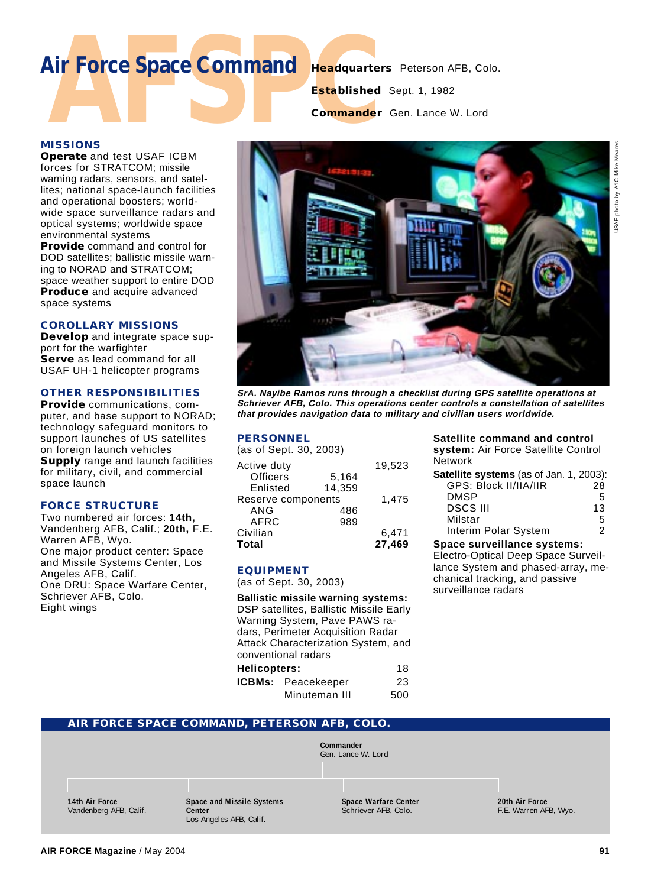## **Air Force Space Command Headquarters** Peterson AFB, Colo.

**Established** Sept. 1, 1982

**Commander** Gen. Lance W. Lord

#### **MISSIONS**

**Operate** and test USAF ICBM forces for STRATCOM; missile warning radars, sensors, and satellites; national space-launch facilities and operational boosters; worldwide space surveillance radars and optical systems; worldwide space environmental systems

**Provide** command and control for DOD satellites; ballistic missile warning to NORAD and STRATCOM; space weather support to entire DOD **Produce** and acquire advanced space systems

#### **COROLLARY MISSIONS**

**Develop** and integrate space support for the warfighter **Serve** as lead command for all USAF UH-1 helicopter programs

#### **OTHER RESPONSIBILITIES**

**Provide** communications, computer, and base support to NORAD; technology safeguard monitors to support launches of US satellites on foreign launch vehicles **Supply** range and launch facilities for military, civil, and commercial space launch

#### **FORCE STRUCTURE**

Two numbered air forces: **14th,** Vandenberg AFB, Calif.; **20th,** F.E. Warren AFB, Wyo. One major product center: Space and Missile Systems Center, Los Angeles AFB, Calif. One DRU: Space Warfare Center, Schriever AFB, Colo. Eight wings



**SrA. Nayibe Ramos runs through a checklist during GPS satellite operations at Schriever AFB, Colo. This operations center controls a constellation of satellites that provides navigation data to military and civilian users worldwide.**

#### **PERSONNEL**

| (as of Sept. 30, 2003) |        |        |
|------------------------|--------|--------|
| Active duty            |        | 19,523 |
| <b>Officers</b>        | 5,164  |        |
| Enlisted               | 14.359 |        |
| Reserve components     |        | 1.475  |
| ANG                    | 486    |        |
| AFRC                   | 989    |        |
| Civilian               |        | 6,471  |
| Total                  |        | 27,469 |
|                        |        |        |

#### **EQUIPMENT**

(as of Sept. 30, 2003)

**Ballistic missile warning systems:** DSP satellites, Ballistic Missile Early Warning System, Pave PAWS radars, Perimeter Acquisition Radar Attack Characterization System, and conventional radars **Helicopters:** 18 **ICBMs:** Peacekeeper 23

| <b>CBMs:</b> Peacekeeper | 23  |
|--------------------------|-----|
| Minuteman III            | 500 |

#### **Satellite command and control system:** Air Force Satellite Control

Network

| Satellite systems (as of Jan. 1, 2003): |    |
|-----------------------------------------|----|
| GPS: Block II/IIA/IIR                   | 28 |
| <b>DMSP</b>                             | 5  |
| <b>DSCS III</b>                         | 13 |
| Milstar                                 | 5  |
| Interim Polar System                    | 2  |
|                                         |    |

#### **Space surveillance systems:**

Electro-Optical Deep Space Surveillance System and phased-array, mechanical tracking, and passive surveillance radars

| AIR FORCE SPACE COMMAND, PETERSON AFB, COLO. |                                                                |                                                     |                                         |
|----------------------------------------------|----------------------------------------------------------------|-----------------------------------------------------|-----------------------------------------|
|                                              |                                                                | Commander<br>Gen. Lance W. Lord                     |                                         |
| 14th Air Force<br>Vandenberg AFB, Calif.     | Space and Missile Systems<br>Center<br>Los Angeles AFB, Calif. | <b>Space Warfare Center</b><br>Schriever AFB, Colo. | 20th Air Force<br>F.E. Warren AFB, Wyo. |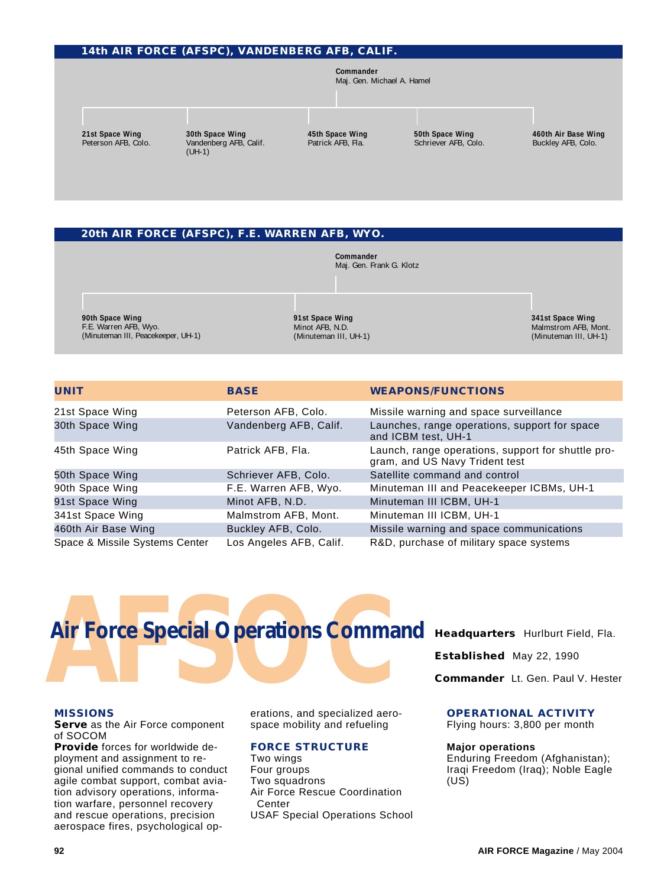#### **14th AIR FORCE (AFSPC), VANDENBERG AFB, CALIF.**

**Commander** Maj. Gen. Michael A. Hamel

**21st Space Wing** Peterson AFB, Colo. **30th Space Wing** Vandenberg AFB, Calif. (UH-1)

**45th Space Wing** Patrick AFB, Fla.

**50th Space Wing** Schriever AFB, Colo. **460th Air Base Wing** Buckley AFB, Colo.

#### **20th AIR FORCE (AFSPC), F.E. WARREN AFB, WYO.**

**Commander** Maj. Gen. Frank G. Klotz

**90th Space Wing** F.E. Warren AFB, Wyo. (Minuteman III, Peacekeeper, UH-1)

**91st Space Wing** Minot AFB, N.D. (Minuteman III, UH-1) **341st Space Wing** Malmstrom AFB, Mont. (Minuteman III, UH-1)

| UNIT                           | <b>BASE</b>             | <b>WEAPONS/FUNCTIONS</b>                                                             |
|--------------------------------|-------------------------|--------------------------------------------------------------------------------------|
| 21st Space Wing                | Peterson AFB, Colo.     | Missile warning and space surveillance                                               |
| 30th Space Wing                | Vandenberg AFB, Calif.  | Launches, range operations, support for space<br>and ICBM test, UH-1                 |
| 45th Space Wing                | Patrick AFB, Fla.       | Launch, range operations, support for shuttle pro-<br>gram, and US Navy Trident test |
| 50th Space Wing                | Schriever AFB, Colo.    | Satellite command and control                                                        |
| 90th Space Wing                | F.E. Warren AFB, Wyo.   | Minuteman III and Peacekeeper ICBMs, UH-1                                            |
| 91st Space Wing                | Minot AFB, N.D.         | Minuteman III ICBM, UH-1                                                             |
| 341st Space Wing               | Malmstrom AFB, Mont.    | Minuteman III ICBM, UH-1                                                             |
| 460th Air Base Wing            | Buckley AFB, Colo.      | Missile warning and space communications                                             |
| Space & Missile Systems Center | Los Angeles AFB, Calif. | R&D, purchase of military space systems                                              |



#### **MISSIONS**

**Serve** as the Air Force component of SOCOM

**Provide** forces for worldwide deployment and assignment to regional unified commands to conduct agile combat support, combat aviation advisory operations, information warfare, personnel recovery and rescue operations, precision aerospace fires, psychological operations, and specialized aerospace mobility and refueling

#### **FORCE STRUCTURE**

Two wings Four groups Two squadrons Air Force Rescue Coordination Center USAF Special Operations School

**Established** May 22, 1990

**Commander** Lt. Gen. Paul V. Hester

#### **OPERATIONAL ACTIVITY**

Flying hours: 3,800 per month

#### **Major operations**

Enduring Freedom (Afghanistan); Iraqi Freedom (Iraq); Noble Eagle  $(US)$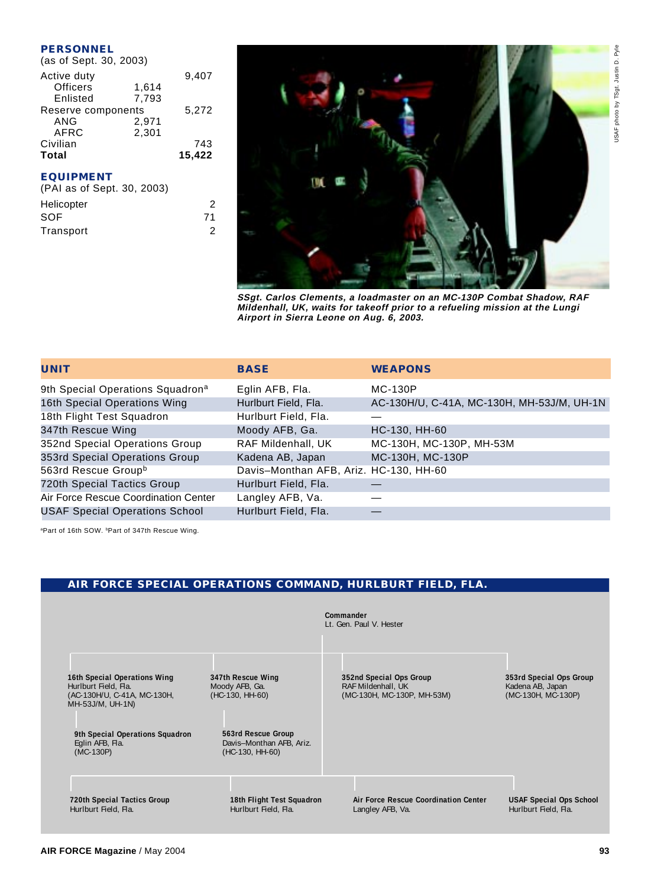#### **PERSONNEL**

| (as of Sept. 30, 2003) |        |
|------------------------|--------|
|                        | 9,407  |
| 1,614                  |        |
| 7,793                  |        |
| Reserve components     |        |
| 2,971                  |        |
| 2.301                  |        |
|                        | 743    |
|                        | 15.422 |
|                        |        |

#### **EQUIPMENT**

| (PAI as of Sept. 30, 2003) |    |
|----------------------------|----|
| Helicopter                 | 2  |
| SOF                        | 71 |
| Transport                  | 2  |
|                            |    |



**SSgt. Carlos Clements, a loadmaster on an MC-130P Combat Shadow, RAF Mildenhall, UK, waits for takeoff prior to a refueling mission at the Lungi Airport in Sierra Leone on Aug. 6, 2003.**

| UNIT                                         | <b>BASE</b>                            | <b>WEAPONS</b>                             |
|----------------------------------------------|----------------------------------------|--------------------------------------------|
| 9th Special Operations Squadron <sup>a</sup> | Eglin AFB, Fla.                        | <b>MC-130P</b>                             |
| 16th Special Operations Wing                 | Hurlburt Field, Fla.                   | AC-130H/U, C-41A, MC-130H, MH-53J/M, UH-1N |
| 18th Flight Test Squadron                    | Hurlburt Field, Fla.                   |                                            |
| 347th Rescue Wing                            | Moody AFB, Ga.                         | HC-130, HH-60                              |
| 352nd Special Operations Group               | RAF Mildenhall, UK                     | MC-130H, MC-130P, MH-53M                   |
| 353rd Special Operations Group               | Kadena AB, Japan                       | MC-130H, MC-130P                           |
| 563rd Rescue Group <sup>b</sup>              | Davis-Monthan AFB, Ariz. HC-130, HH-60 |                                            |
| 720th Special Tactics Group                  | Hurlburt Field, Fla.                   |                                            |
| Air Force Rescue Coordination Center         | Langley AFB, Va.                       |                                            |
| <b>USAF Special Operations School</b>        | Hurlburt Field, Fla.                   |                                            |

aPart of 16th SOW. **Part of 347th Rescue Wing.** 

#### **AIR FORCE SPECIAL OPERATIONS COMMAND, HURLBURT FIELD, FLA.**

|                                                                                                         |                                                                   | Commander<br>Lt. Gen. Paul V. Hester                                        |                                                                   |
|---------------------------------------------------------------------------------------------------------|-------------------------------------------------------------------|-----------------------------------------------------------------------------|-------------------------------------------------------------------|
| 16th Special Operations Wing<br>Hurlburt Field, Fla.<br>(AC-130H/U, C-41A, MC-130H,<br>MH-53J/M, UH-1N) | 347th Rescue Wing<br>Moody AFB, Ga.<br>(HC-130, HH-60)            | 352nd Special Ops Group<br>RAF Mildenhall, UK<br>(MC-130H, MC-130P, MH-53M) | 353rd Special Ops Group<br>Kadena AB, Japan<br>(MC-130H, MC-130P) |
| 9th Special Operations Squadron<br>Eglin AFB, Fla.<br>$(MC-130P)$                                       | 563rd Rescue Group<br>Davis-Monthan AFB, Ariz.<br>(HC-130, HH-60) |                                                                             |                                                                   |
| 720th Special Tactics Group<br>Hurlburt Field, Fla.                                                     | 18th Flight Test Squadron<br>Hurlburt Field, Fla.                 | Air Force Rescue Coordination Center<br>Langley AFB, Va.                    | <b>USAF Special Ops School</b><br>Hurlburt Field, Fla.            |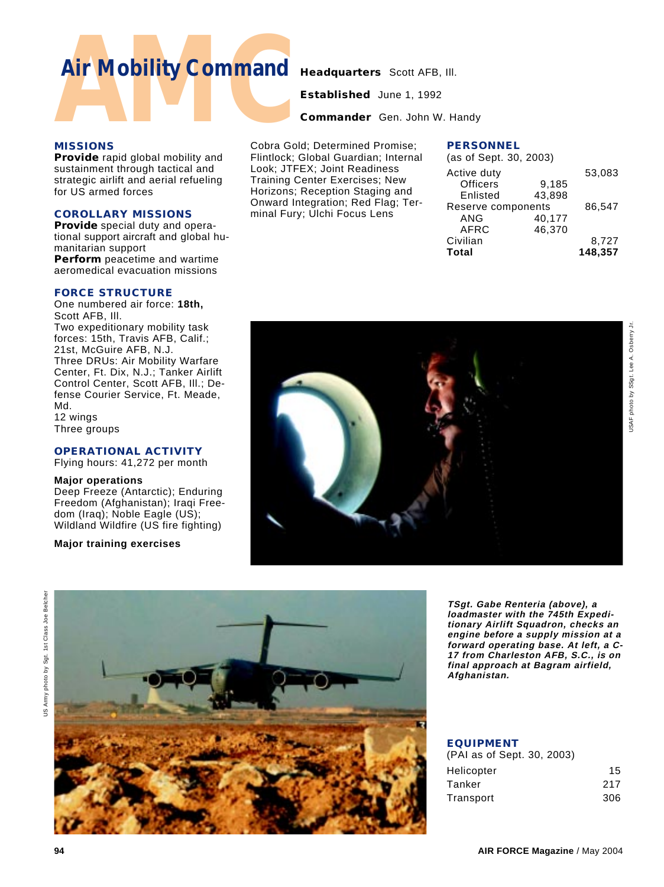### **Air Mobility Command Headquarters** Scott AFB, III.

**Established** June 1, 1992

**Commander** Gen. John W. Handy

#### **MISSIONS**

**Provide** rapid global mobility and sustainment through tactical and strategic airlift and aerial refueling for US armed forces

#### **COROLLARY MISSIONS**

**Provide** special duty and operational support aircraft and global humanitarian support **Perform** peacetime and wartime aeromedical evacuation missions

#### **FORCE STRUCTURE**

One numbered air force: **18th,** Scott AFB, Ill. Two expeditionary mobility task forces: 15th, Travis AFB, Calif.; 21st, McGuire AFB, N.J. Three DRUs: Air Mobility Warfare Center, Ft. Dix, N.J.; Tanker Airlift Control Center, Scott AFB, Ill.; Defense Courier Service, Ft. Meade, Md. 12 wings Three groups

#### **OPERATIONAL ACTIVITY**

Flying hours: 41,272 per month

#### **Major operations**

Deep Freeze (Antarctic); Enduring Freedom (Afghanistan); Iraqi Freedom (Iraq); Noble Eagle (US); Wildland Wildfire (US fire fighting)

#### **Major training exercises**

Cobra Gold; Determined Promise; Flintlock; Global Guardian; Internal Look; JTFEX; Joint Readiness Training Center Exercises; New Horizons; Reception Staging and Onward Integration; Red Flag; Terminal Fury; Ulchi Focus Lens

| (as of Sept. 30, 2003) |         |
|------------------------|---------|
|                        | 53,083  |
| 9,185                  |         |
| 43.898                 |         |
| Reserve components     | 86.547  |
| 40,177                 |         |
| 46.370                 |         |
|                        | 8.727   |
|                        | 148.357 |
|                        |         |







**TSgt. Gabe Renteria (above), a loadmaster with the 745th Expeditionary Airlift Squadron, checks an engine before a supply mission at a forward operating base. At left, a C-17 from Charleston AFB, S.C., is on final approach at Bagram airfield, Afghanistan.**

#### **EQUIPMENT**

| (PAI as of Sept. 30, 2003) |     |
|----------------------------|-----|
| Helicopter                 | 15  |
| Tanker                     | 217 |
| Transport                  | 306 |
|                            |     |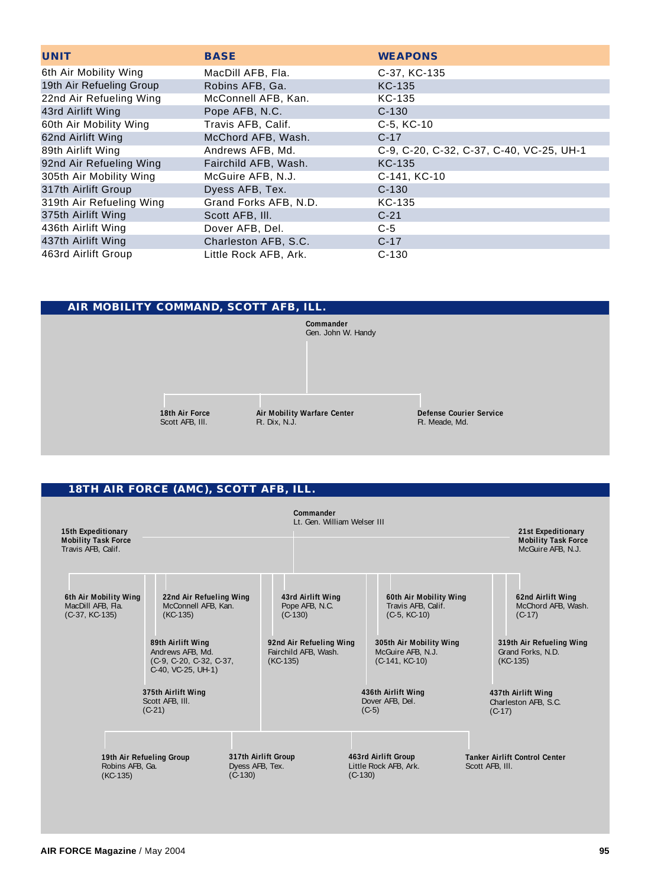| <b>UNIT</b>              | <b>BASE</b>           | <b>WEAPONS</b>                           |
|--------------------------|-----------------------|------------------------------------------|
| 6th Air Mobility Wing    | MacDill AFB, Fla.     | C-37, KC-135                             |
| 19th Air Refueling Group | Robins AFB, Ga.       | <b>KC-135</b>                            |
| 22nd Air Refueling Wing  | McConnell AFB, Kan.   | KC-135                                   |
| 43rd Airlift Wing        | Pope AFB, N.C.        | $C-130$                                  |
| 60th Air Mobility Wing   | Travis AFB, Calif.    | C-5, KC-10                               |
| 62nd Airlift Wing        | McChord AFB, Wash.    | $C-17$                                   |
| 89th Airlift Wing        | Andrews AFB, Md.      | C-9, C-20, C-32, C-37, C-40, VC-25, UH-1 |
| 92nd Air Refueling Wing  | Fairchild AFB, Wash.  | <b>KC-135</b>                            |
| 305th Air Mobility Wing  | McGuire AFB, N.J.     | C-141, KC-10                             |
| 317th Airlift Group      | Dyess AFB, Tex.       | $C-130$                                  |
| 319th Air Refueling Wing | Grand Forks AFB, N.D. | KC-135                                   |
| 375th Airlift Wing       | Scott AFB, III.       | $C-21$                                   |
| 436th Airlift Wing       | Dover AFB, Del.       | $C-5$                                    |
| 437th Airlift Wing       | Charleston AFB, S.C.  | $C-17$                                   |
| 463rd Airlift Group      | Little Rock AFB, Ark. | $C-130$                                  |

#### **AIR MOBILITY COMMAND, SCOTT AFB, ILL.**



#### **18TH AIR FORCE (AMC), SCOTT AFB, ILL.**

| 15th Expeditionary<br><b>Mobility Task Force</b><br>Travis AFB, Calif. |                                                                                                                                                          |                                                     | Commander<br>Lt. Gen. William Welser III                                                                          |                      |                                                                                                                                    |                             | 21st Expeditionary<br><b>Mobility Task Force</b><br>McGuire AFB, N.J.                                              |
|------------------------------------------------------------------------|----------------------------------------------------------------------------------------------------------------------------------------------------------|-----------------------------------------------------|-------------------------------------------------------------------------------------------------------------------|----------------------|------------------------------------------------------------------------------------------------------------------------------------|-----------------------------|--------------------------------------------------------------------------------------------------------------------|
| 6th Air Mobility Wing<br>MacDill AFB, Fla.<br>$(C-37, KC-135)$         | 22nd Air Refueling Wing<br>McConnell AFB, Kan.<br>$(KC-135)$<br>89th Airlift Wing<br>Andrews AFB, Md.<br>$(C-9, C-20, C-32, C-37)$<br>C-40, VC-25, UH-1) |                                                     | 43rd Airlift Wing<br>Pope AFB, N.C.<br>$(C-130)$<br>92nd Air Refueling Wing<br>Fairchild AFB, Wash.<br>$(KC-135)$ |                      | 60th Air Mobility Wing<br>Travis AFB, Calif.<br>$(C-5, KC-10)$<br>305th Air Mobility Wing<br>McGuire AFB, N.J.<br>$(C-141, KC-10)$ |                             | 62nd Airlift Wing<br>McChord AFB, Wash.<br>$(C-17)$<br>319th Air Refueling Wing<br>Grand Forks, N.D.<br>$(KC-135)$ |
| Robins AFB, Ga.<br>$(KC-135)$                                          | 375th Airlift Wing<br>Scott AFB, III.<br>$(C-21)$<br>19th Air Refueling Group                                                                            | 317th Airlift Group<br>Dyess AFB, Tex.<br>$(C-130)$ |                                                                                                                   | $(C-5)$<br>$(C-130)$ | 436th Airlift Wing<br>Dover AFB, Del.<br>463rd Airlift Group<br>Little Rock AFB, Ark.                                              | $(C-17)$<br>Scott AFB. III. | 437th Airlift Wing<br>Charleston AFB, S.C.<br><b>Tanker Airlift Control Center</b>                                 |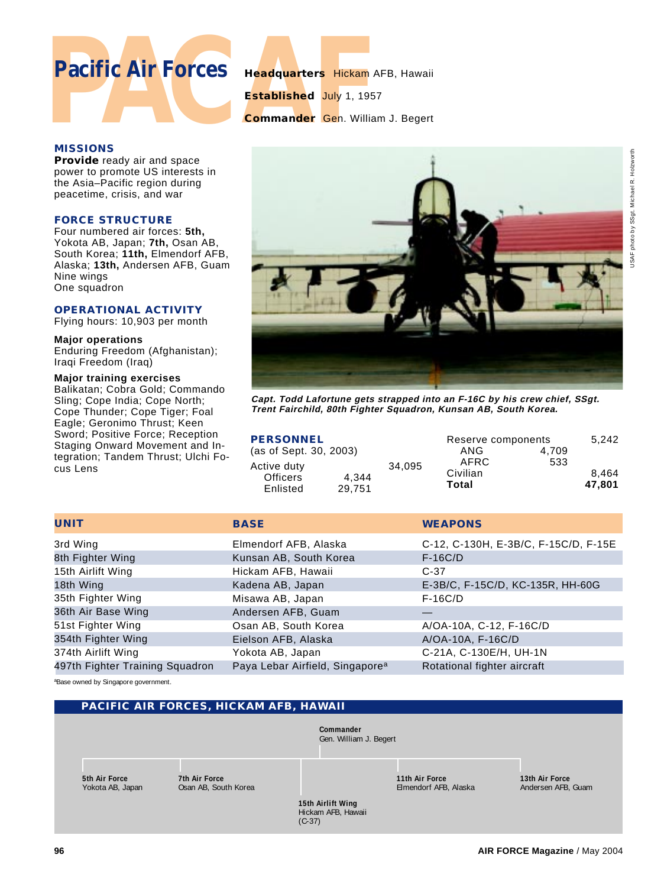# **Pacific Air Forces Headquarters Hickam** AFB, Hawaii<br>Established July 1, 1957<br>Commander Gen. William J. Begert<br>MISSIONS

**Established** July 1, 1957

**Commander** Gen. William J. Begert

#### **MISSIONS**

**Provide** ready air and space power to promote US interests in the Asia–Pacific region during peacetime, crisis, and war

#### **FORCE STRUCTURE**

Four numbered air forces: **5th,** Yokota AB, Japan; **7th,** Osan AB, South Korea; **11th,** Elmendorf AFB, Alaska; **13th,** Andersen AFB, Guam Nine wings One squadron

#### **OPERATIONAL ACTIVITY**

Flying hours: 10,903 per month

#### **Major operations**

Enduring Freedom (Afghanistan); Iraqi Freedom (Iraq)

#### **Major training exercises**

Balikatan; Cobra Gold; Commando Sling; Cope India; Cope North; Cope Thunder; Cope Tiger; Foal Eagle; Geronimo Thrust; Keen Sword; Positive Force; Reception Staging Onward Movement and Integration; Tandem Thrust; Ulchi Focus Lens



**Capt. Todd Lafortune gets strapped into an F-16C by his crew chief, SSgt. Trent Fairchild, 80th Fighter Squadron, Kunsan AB, South Korea.**

| <b>PERSONNEL</b>               |        |        | Reserve components        |       | 5.242           |
|--------------------------------|--------|--------|---------------------------|-------|-----------------|
| (as of Sept. 30, 2003)         |        |        | ANG                       | 4.709 |                 |
| Active duty<br><b>Officers</b> | 4.344  | 34.095 | AFRC<br>Civilian<br>Total | 533   | 8.464<br>47.801 |
| Enlisted                       | 29.751 |        |                           |       |                 |

| <b>UNIT</b>                     | <b>BASE</b>                                 | <b>WEAPONS</b>                       |
|---------------------------------|---------------------------------------------|--------------------------------------|
| 3rd Wing                        | Elmendorf AFB, Alaska                       | C-12, C-130H, E-3B/C, F-15C/D, F-15E |
| 8th Fighter Wing                | Kunsan AB, South Korea                      | $F-16C/D$                            |
| 15th Airlift Wing               | Hickam AFB, Hawaii                          | $C-37$                               |
| 18th Wing                       | Kadena AB, Japan                            | E-3B/C, F-15C/D, KC-135R, HH-60G     |
| 35th Fighter Wing               | Misawa AB, Japan                            | $F-16C/D$                            |
| 36th Air Base Wing              | Andersen AFB, Guam                          |                                      |
| 51st Fighter Wing               | Osan AB, South Korea                        | A/OA-10A, C-12, F-16C/D              |
| 354th Fighter Wing              | Eielson AFB, Alaska                         | A/OA-10A, F-16C/D                    |
| 374th Airlift Wing              | Yokota AB, Japan                            | C-21A, C-130E/H, UH-1N               |
| 497th Fighter Training Squadron | Paya Lebar Airfield, Singapore <sup>a</sup> | Rotational fighter aircraft          |

aBase owned by Singapore government.

#### **PACIFIC AIR FORCES, HICKAM AFB, HAWAII**



**15th Airlift Wing** Hickam AFB, Hawaii

(C-37)

**5th Air Force** Yokota AB, Japan **7th Air Force** Osan AB, South Korea **11th Air Force** Elmendorf AFB, Alaska

**13th Air Force** Andersen AFB, Guam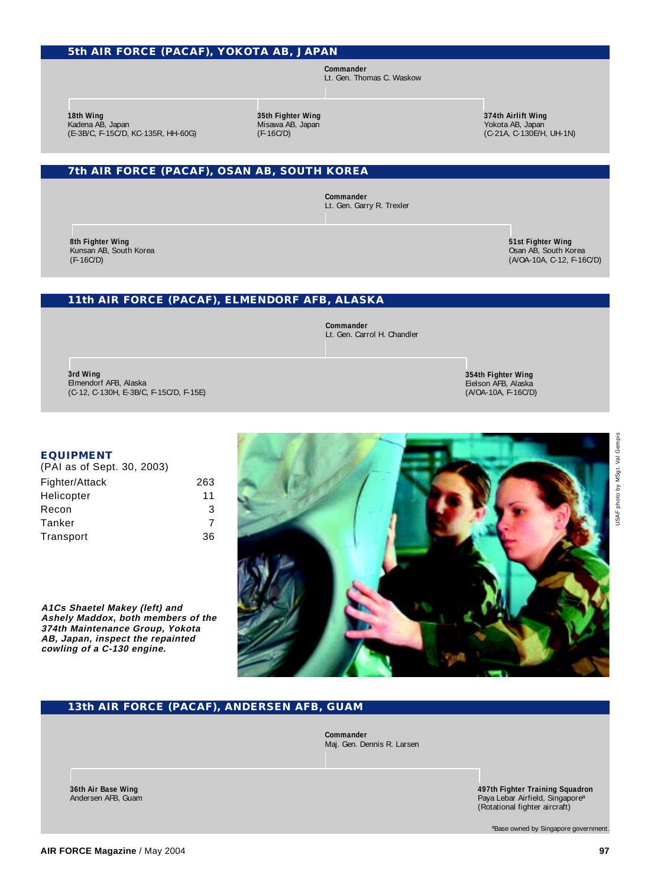#### **5th AIR FORCE (PACAF), YOKOTA AB, JAPAN**

**Commander** Lt. Gen. Thomas C. Waskow

**18th Wing** Kadena AB, Japan (E-3B/C, F-15C/D, KC-135R, HH-60G) **35th Fighter Wing** Misawa AB, Japan (F-16C/D)

**374th Airlift Wing** Yokota AB, Japan (C-21A, C-130E/H, UH-1N)

#### **7th AIR FORCE (PACAF), OSAN AB, SOUTH KOREA**

**Commander** Lt. Gen. Garry R. Trexler

**8th Fighter Wing** Kunsan AB, South Korea (F-16C/D)

**51st Fighter Wing** Osan AB, South Korea (A/OA-10A, C-12, F-16C/D)

#### **11th AIR FORCE (PACAF), ELMENDORF AFB, ALASKA**

**Commander** Lt. Gen. Carrol H. Chandler

**3rd Wing** Elmendorf AFB, Alaska (C-12, C-130H, E-3B/C, F-15C/D, F-15E) **354th Fighter Wing** Eielson AFB, Alaska (A/OA-10A, F-16C/D)

#### **EQUIPMENT**

| (PAI as of Sept. 30, 2003) |     |
|----------------------------|-----|
| Fighter/Attack             | 263 |
| Helicopter                 | 11  |
| Recon                      | 3   |
| Tanker                     | 7   |
| Transport                  | 36  |

**A1Cs Shaetel Makey (left) and Ashely Maddox, both members of the 374th Maintenance Group, Yokota AB, Japan, inspect the repainted cowling of a C-130 engine.**



#### **13th AIR FORCE (PACAF), ANDERSEN AFB, GUAM**

**Commander** Maj. Gen. Dennis R. Larsen

> **497th Fighter Training Squadron** Paya Lebar Airfield, Singapore<sup>a</sup> (Rotational fighter aircraft)

> > aBase owned by Singapore government.

**36th Air Base Wing** Andersen AFB, Guam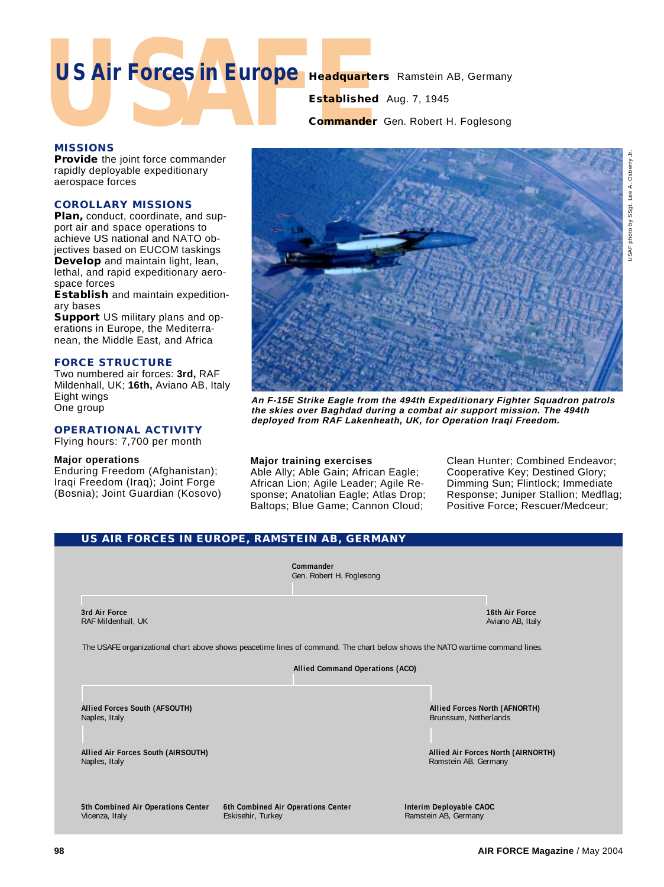# US Air Forces in Europe Headquarters **US Air Forces in Europe Headquarters** Ramstein AB, Germany

## **Established** Aug. 7, 1945

#### **Commander** Gen. Robert H. Foglesong

#### **MISSIONS**

**Provide** the joint force commander rapidly deployable expeditionary aerospace forces

#### **COROLLARY MISSIONS**

**Plan,** conduct, coordinate, and support air and space operations to achieve US national and NATO objectives based on EUCOM taskings **Develop** and maintain light, lean, lethal, and rapid expeditionary aerospace forces

**Establish** and maintain expeditionary bases

**Support** US military plans and operations in Europe, the Mediterranean, the Middle East, and Africa

#### **FORCE STRUCTURE**

Two numbered air forces: **3rd,** RAF Mildenhall, UK; **16th,** Aviano AB, Italy Eight wings One group

#### **OPERATIONAL ACTIVITY**

Flying hours: 7,700 per month

#### **Major operations**

Enduring Freedom (Afghanistan); Iraqi Freedom (Iraq); Joint Forge (Bosnia); Joint Guardian (Kosovo)



**An F-15E Strike Eagle from the 494th Expeditionary Fighter Squadron patrols the skies over Baghdad during a combat air support mission. The 494th deployed from RAF Lakenheath, UK, for Operation Iraqi Freedom.**

#### **Major training exercises**

Able Ally; Able Gain; African Eagle; African Lion; Agile Leader; Agile Response; Anatolian Eagle; Atlas Drop; Baltops; Blue Game; Cannon Cloud;

Clean Hunter; Combined Endeavor; Cooperative Key; Destined Glory; Dimming Sun; Flintlock; Immediate Response; Juniper Stallion; Medflag; Positive Force; Rescuer/Medceur;

#### **US AIR FORCES IN EUROPE, RAMSTEIN AB, GERMANY Commander** Gen. Robert H. Foglesong **3rd Air Force** RAF Mildenhall, UK **16th Air Force** Aviano AB, Italy The USAFE organizational chart above shows peacetime lines of command. The chart below shows the NATO wartime command lines. **Allied Command Operations (ACO) Allied Forces South (AFSOUTH)** Naples, Italy **Allied Forces North (AFNORTH)** Brunssum, Netherlands **Allied Air Forces South (AIRSOUTH)** Naples, Italy **Allied Air Forces North (AIRNORTH)** Ramstein AB, Germany **5th Combined Air Operations Center** Vicenza, Italy **6th Combined Air Operations Center** Eskisehir, Turkey **Interim Deployable CAOC** Ramstein AB, Germany